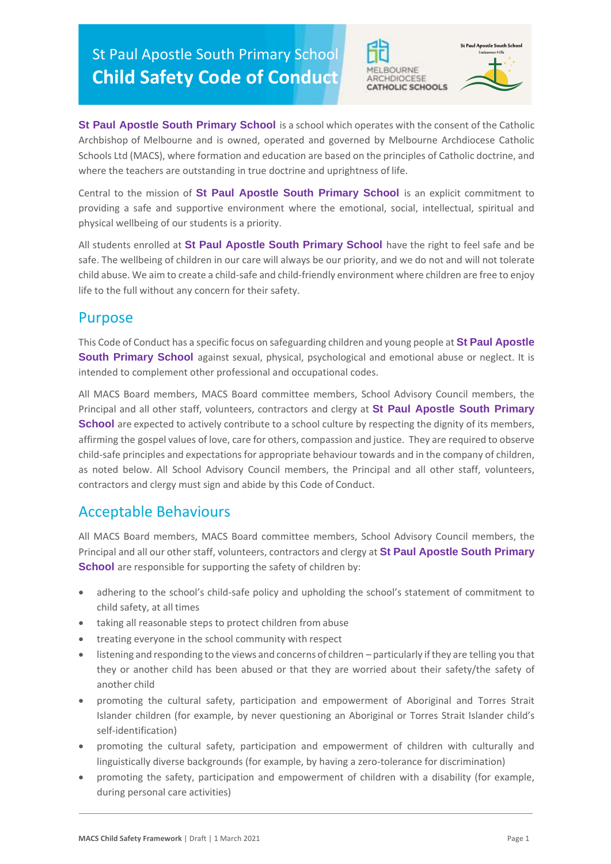St Paul Apostle South Primary School **Child Safety Code of Conduct**





**St Paul Apostle South Primary School** is a school which operates with the consent of the Catholic Archbishop of Melbourne and is owned, operated and governed by Melbourne Archdiocese Catholic Schools Ltd (MACS), where formation and education are based on the principles of Catholic doctrine, and where the teachers are outstanding in true doctrine and uprightness of life.

Central to the mission of **St Paul Apostle South Primary School** is an explicit commitment to providing a safe and supportive environment where the emotional, social, intellectual, spiritual and physical wellbeing of our students is a priority.

All students enrolled at **St Paul Apostle South Primary School** have the right to feel safe and be safe. The wellbeing of children in our care will always be our priority, and we do not and will not tolerate child abuse. We aim to create a child-safe and child-friendly environment where children are free to enjoy life to the full without any concern for their safety.

## Purpose

This Code of Conduct has a specific focus on safeguarding children and young people at **St Paul Apostle South Primary School** against sexual, physical, psychological and emotional abuse or neglect. It is intended to complement other professional and occupational codes.

All MACS Board members, MACS Board committee members, School Advisory Council members, the Principal and all other staff, volunteers, contractors and clergy at **St Paul Apostle South Primary School** are expected to actively contribute to a school culture by respecting the dignity of its members, affirming the gospel values of love, care for others, compassion and justice. They are required to observe child-safe principles and expectations for appropriate behaviour towards and in the company of children, as noted below. All School Advisory Council members, the Principal and all other staff, volunteers, contractors and clergy must sign and abide by this Code of Conduct.

## Acceptable Behaviours

All MACS Board members, MACS Board committee members, School Advisory Council members, the Principal and all our other staff, volunteers, contractors and clergy at **St Paul Apostle South Primary School** are responsible for supporting the safety of children by:

- adhering to the school's child-safe policy and upholding the school's statement of commitment to child safety, at all times
- taking all reasonable steps to protect children from abuse
- treating everyone in the school community with respect
- listening and responding to the views and concerns of children particularly if they are telling you that they or another child has been abused or that they are worried about their safety/the safety of another child
- promoting the cultural safety, participation and empowerment of Aboriginal and Torres Strait Islander children (for example, by never questioning an Aboriginal or Torres Strait Islander child's self-identification)
- promoting the cultural safety, participation and empowerment of children with culturally and linguistically diverse backgrounds (for example, by having a zero-tolerance for discrimination)
- promoting the safety, participation and empowerment of children with a disability (for example, during personal care activities)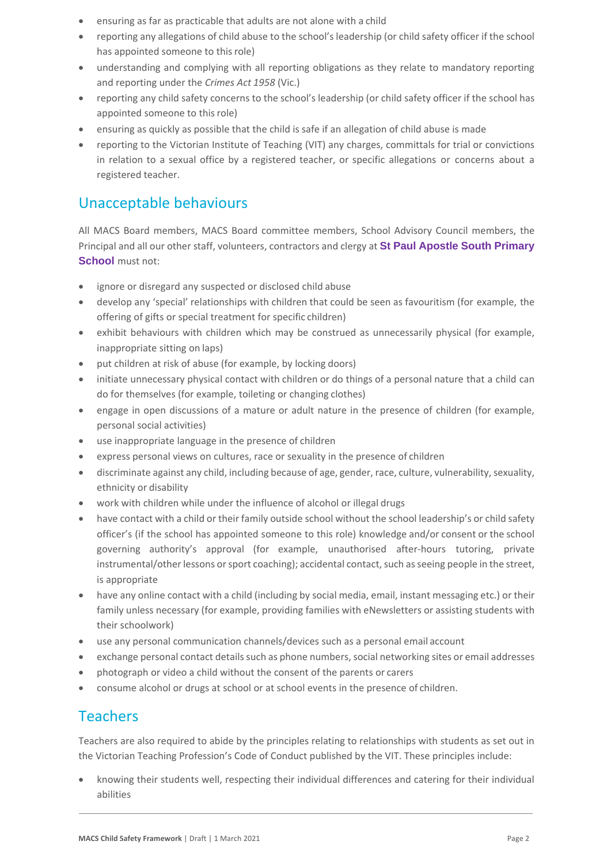- ensuring as far as practicable that adults are not alone with a child
- reporting any allegations of child abuse to the school's leadership (or child safety officer if the school has appointed someone to thisrole)
- understanding and complying with all reporting obligations as they relate to mandatory reporting and reporting under the *Crimes Act 1958* (Vic.)
- reporting any child safety concerns to the school's leadership (or child safety officer if the school has appointed someone to this role)
- ensuring as quickly as possible that the child is safe if an allegation of child abuse is made
- reporting to the Victorian Institute of Teaching (VIT) any charges, committals for trial or convictions in relation to a sexual office by a registered teacher, or specific allegations or concerns about a registered teacher.

# Unacceptable behaviours

All MACS Board members, MACS Board committee members, School Advisory Council members, the Principal and all our other staff, volunteers, contractors and clergy at **St Paul Apostle South Primary School** must not:

- ignore or disregard any suspected or disclosed child abuse
- develop any 'special' relationships with children that could be seen as favouritism (for example, the offering of gifts or special treatment for specific children)
- exhibit behaviours with children which may be construed as unnecessarily physical (for example, inappropriate sitting on laps)
- put children at risk of abuse (for example, by locking doors)
- initiate unnecessary physical contact with children or do things of a personal nature that a child can do for themselves (for example, toileting or changing clothes)
- engage in open discussions of a mature or adult nature in the presence of children (for example, personal social activities)
- use inappropriate language in the presence of children
- express personal views on cultures, race or sexuality in the presence of children
- discriminate against any child, including because of age, gender, race, culture, vulnerability, sexuality, ethnicity or disability
- work with children while under the influence of alcohol or illegal drugs
- have contact with a child or their family outside school without the school leadership's or child safety officer's (if the school has appointed someone to this role) knowledge and/or consent or the school governing authority's approval (for example, unauthorised after-hours tutoring, private instrumental/other lessons or sport coaching); accidental contact, such as seeing people in the street, is appropriate
- have any online contact with a child (including by social media, email, instant messaging etc.) or their family unless necessary (for example, providing families with eNewsletters or assisting students with their schoolwork)
- use any personal communication channels/devices such as a personal email account
- exchange personal contact details such as phone numbers, social networking sites or email addresses
- photograph or video a child without the consent of the parents or carers
- consume alcohol or drugs at school or at school events in the presence of children.

# Teachers

Teachers are also required to abide by the principles relating to relationships with students as set out in the Victorian Teaching Profession's Code of Conduct published by the VIT. These principles include:

• knowing their students well, respecting their individual differences and catering for their individual abilities